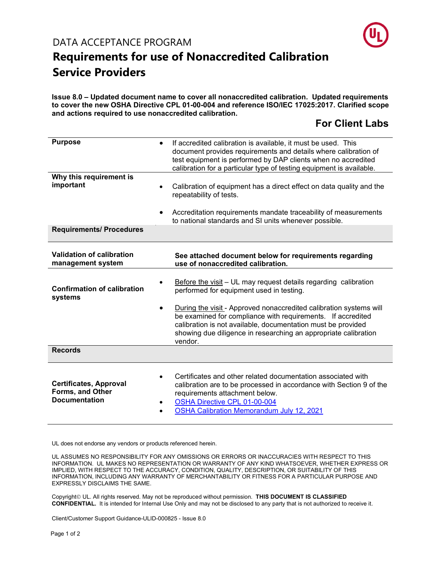

### **Requirements for use of Nonaccredited Calibration Service Providers**

**Issue 8.0 – Updated document name to cover all nonaccredited calibration. Updated requirements to cover the new OSHA Directive CPL 01-00-004 and reference ISO/IEC 17025:2017. Clarified scope and actions required to use nonaccredited calibration.** 

### **For Client Labs**

| <b>Purpose</b>                                                            | $\bullet$                                                                                                                                                                                    | If accredited calibration is available, it must be used. This<br>document provides requirements and details where calibration of<br>test equipment is performed by DAP clients when no accredited<br>calibration for a particular type of testing equipment is available.       |
|---------------------------------------------------------------------------|----------------------------------------------------------------------------------------------------------------------------------------------------------------------------------------------|---------------------------------------------------------------------------------------------------------------------------------------------------------------------------------------------------------------------------------------------------------------------------------|
| Why this requirement is<br>important                                      | Calibration of equipment has a direct effect on data quality and the<br>$\bullet$<br>repeatability of tests.<br>Accreditation requirements mandate traceability of measurements<br>$\bullet$ |                                                                                                                                                                                                                                                                                 |
| <b>Requirements/ Procedures</b>                                           |                                                                                                                                                                                              | to national standards and SI units whenever possible.                                                                                                                                                                                                                           |
| Validation of calibration<br>management system                            |                                                                                                                                                                                              | See attached document below for requirements regarding<br>use of nonaccredited calibration.                                                                                                                                                                                     |
| <b>Confirmation of calibration</b><br>systems                             |                                                                                                                                                                                              | Before the visit - UL may request details regarding calibration<br>performed for equipment used in testing.                                                                                                                                                                     |
|                                                                           | $\bullet$                                                                                                                                                                                    | During the visit - Approved nonaccredited calibration systems will<br>be examined for compliance with requirements. If accredited<br>calibration is not available, documentation must be provided<br>showing due diligence in researching an appropriate calibration<br>vendor. |
| <b>Records</b>                                                            |                                                                                                                                                                                              |                                                                                                                                                                                                                                                                                 |
| <b>Certificates, Approval</b><br>Forms, and Other<br><b>Documentation</b> | $\bullet$                                                                                                                                                                                    | Certificates and other related documentation associated with<br>calibration are to be processed in accordance with Section 9 of the<br>requirements attachment below.<br>OSHA Directive CPL 01-00-004<br><b>OSHA Calibration Memorandum July 12, 2021</b>                       |

UL does not endorse any vendors or products referenced herein.

UL ASSUMES NO RESPONSIBILITY FOR ANY OMISSIONS OR ERRORS OR INACCURACIES WITH RESPECT TO THIS INFORMATION. UL MAKES NO REPRESENTATION OR WARRANTY OF ANY KIND WHATSOEVER, WHETHER EXPRESS OR IMPLIED, WITH RESPECT TO THE ACCURACY, CONDITION, QUALITY, DESCRIPTION, OR SUITABILITY OF THIS INFORMATION, INCLUDING ANY WARRANTY OF MERCHANTABILITY OR FITNESS FOR A PARTICULAR PURPOSE AND EXPRESSLY DISCLAIMS THE SAME.

Copyright<sup>©</sup> UL. All rights reserved. May not be reproduced without permission. THIS DOCUMENT IS CLASSIFIED **CONFIDENTIAL.** It is intended for Internal Use Only and may not be disclosed to any party that is not authorized to receive it.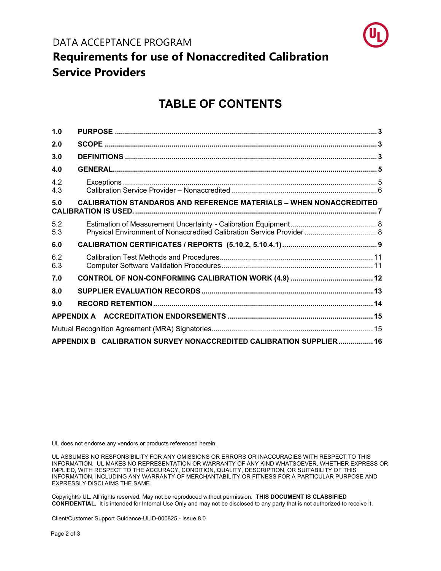

### **Requirements for use of Nonaccredited Calibration Service Providers**

### **TABLE OF CONTENTS**

| 1.0        |                                                                           |  |
|------------|---------------------------------------------------------------------------|--|
| 2.0        |                                                                           |  |
| 3.0        |                                                                           |  |
| 4.0        |                                                                           |  |
| 4.2<br>4.3 |                                                                           |  |
| 5.0        | <b>CALIBRATION STANDARDS AND REFERENCE MATERIALS - WHEN NONACCREDITED</b> |  |
| 5.2<br>5.3 | Physical Environment of Nonaccredited Calibration Service Provider 8      |  |
| 6.0        |                                                                           |  |
| 6.2<br>6.3 |                                                                           |  |
| 7.0        |                                                                           |  |
| 8.0        |                                                                           |  |
| 9.0        |                                                                           |  |
|            |                                                                           |  |
|            |                                                                           |  |
|            | APPENDIX B CALIBRATION SURVEY NONACCREDITED CALIBRATION SUPPLIER  16      |  |

UL does not endorse any vendors or products referenced herein.

UL ASSUMES NO RESPONSIBILITY FOR ANY OMISSIONS OR ERRORS OR INACCURACIES WITH RESPECT TO THIS INFORMATION. UL MAKES NO REPRESENTATION OR WARRANTY OF ANY KIND WHATSOEVER, WHETHER EXPRESS OR IMPLIED, WITH RESPECT TO THE ACCURACY, CONDITION, QUALITY, DESCRIPTION, OR SUITABILITY OF THIS INFORMATION, INCLUDING ANY WARRANTY OF MERCHANTABILITY OR FITNESS FOR A PARTICULAR PURPOSE AND EXPRESSLY DISCLAIMS THE SAME.

Copyright<sup>©</sup> UL. All rights reserved. May not be reproduced without permission. **THIS DOCUMENT IS CLASSIFIED CONFIDENTIAL.** It is intended for Internal Use Only and may not be disclosed to any party that is not authorized to receive it.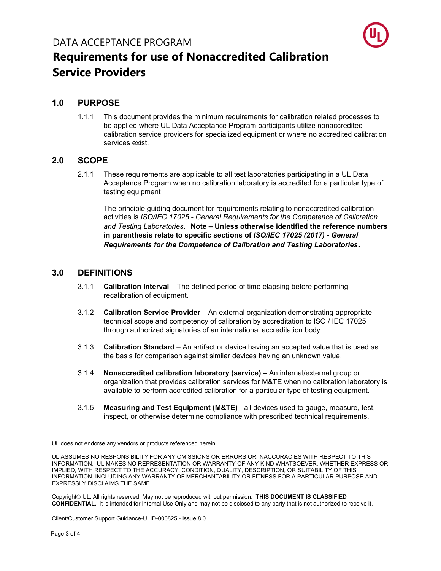

#### <span id="page-2-0"></span>**1.0 PURPOSE**

1.1.1 This document provides the minimum requirements for calibration related processes to be applied where UL Data Acceptance Program participants utilize nonaccredited calibration service providers for specialized equipment or where no accredited calibration services exist.

#### <span id="page-2-1"></span>**2.0 SCOPE**

2.1.1 These requirements are applicable to all test laboratories participating in a UL Data Acceptance Program when no calibration laboratory is accredited for a particular type of testing equipment

The principle guiding document for requirements relating to nonaccredited calibration activities is *ISO/IEC 17025 - General Requirements for the Competence of Calibration and Testing Laboratories*. **Note – Unless otherwise identified the reference numbers in parenthesis relate to specific sections of** *ISO/IEC 17025 (2017) - General Requirements for the Competence of Calibration and Testing Laboratories***.**

#### <span id="page-2-2"></span>**3.0 DEFINITIONS**

- 3.1.1 **Calibration Interval** The defined period of time elapsing before performing recalibration of equipment.
- 3.1.2 **Calibration Service Provider** An external organization demonstrating appropriate technical scope and competency of calibration by accreditation to ISO / IEC 17025 through authorized signatories of an international accreditation body.
- 3.1.3 **Calibration Standard** An artifact or device having an accepted value that is used as the basis for comparison against similar devices having an unknown value.
- 3.1.4 **Nonaccredited calibration laboratory (service) –** An internal/external group or organization that provides calibration services for M&TE when no calibration laboratory is available to perform accredited calibration for a particular type of testing equipment.
- 3.1.5 **Measuring and Test Equipment (M&TE)**  all devices used to gauge, measure, test, inspect, or otherwise determine compliance with prescribed technical requirements.

UL does not endorse any vendors or products referenced herein.

UL ASSUMES NO RESPONSIBILITY FOR ANY OMISSIONS OR ERRORS OR INACCURACIES WITH RESPECT TO THIS INFORMATION. UL MAKES NO REPRESENTATION OR WARRANTY OF ANY KIND WHATSOEVER, WHETHER EXPRESS OR IMPLIED, WITH RESPECT TO THE ACCURACY, CONDITION, QUALITY, DESCRIPTION, OR SUITABILITY OF THIS INFORMATION, INCLUDING ANY WARRANTY OF MERCHANTABILITY OR FITNESS FOR A PARTICULAR PURPOSE AND EXPRESSLY DISCLAIMS THE SAME.

Copyright<sup>©</sup> UL. All rights reserved. May not be reproduced without permission. THIS DOCUMENT IS CLASSIFIED **CONFIDENTIAL.** It is intended for Internal Use Only and may not be disclosed to any party that is not authorized to receive it.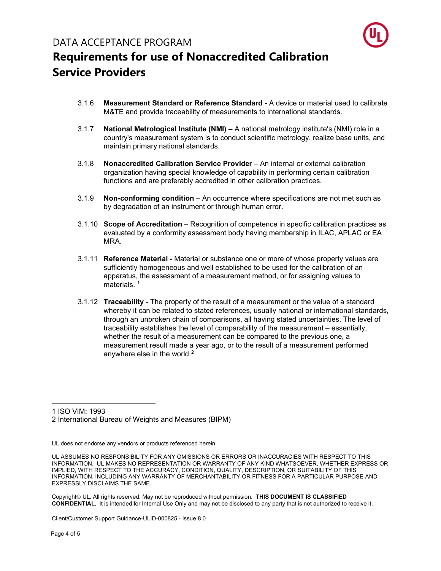

- 3.1.6 **Measurement Standard or Reference Standard -** A device or material used to calibrate M&TE and provide traceability of measurements to international standards.
- 3.1.7 **National Metrological Institute (NMI) –** A national metrology institute's (NMI) role in a country's measurement system is to conduct scientific metrology, realize base units, and maintain primary national standards.
- 3.1.8 **Nonaccredited Calibration Service Provider** An internal or external calibration organization having special knowledge of capability in performing certain calibration functions and are preferably accredited in other calibration practices.
- 3.1.9 **Non-conforming condition** An occurrence where specifications are not met such as by degradation of an instrument or through human error.
- 3.1.10 **Scope of Accreditation** Recognition of competence in specific calibration practices as evaluated by a conformity assessment body having membership in ILAC, APLAC or EA MRA.
- 3.1.11 **Reference Material -** Material or substance one or more of whose property values are sufficiently homogeneous and well established to be used for the calibration of an apparatus, the assessment of a measurement method, or for assigning values to materials.<sup>[1](#page-3-0)</sup>
- 3.1.12 **Traceability** The property of the result of a measurement or the value of a standard whereby it can be related to stated references, usually national or international standards, through an unbroken chain of comparisons, all having stated uncertainties. The level of traceability establishes the level of comparability of the measurement – essentially, whether the result of a measurement can be compared to the previous one, a measurement result made a year ago, or to the result of a measurement performed anywhere else in the world.[2](#page-3-1)

<span id="page-3-0"></span>1 ISO VIM: 1993

<span id="page-3-1"></span>2 International Bureau of Weights and Measures (BIPM)

UL does not endorse any vendors or products referenced herein.

Copyright<sup>©</sup> UL. All rights reserved. May not be reproduced without permission. THIS DOCUMENT IS CLASSIFIED **CONFIDENTIAL.** It is intended for Internal Use Only and may not be disclosed to any party that is not authorized to receive it.

UL ASSUMES NO RESPONSIBILITY FOR ANY OMISSIONS OR ERRORS OR INACCURACIES WITH RESPECT TO THIS INFORMATION. UL MAKES NO REPRESENTATION OR WARRANTY OF ANY KIND WHATSOEVER, WHETHER EXPRESS OR IMPLIED, WITH RESPECT TO THE ACCURACY, CONDITION, QUALITY, DESCRIPTION, OR SUITABILITY OF THIS INFORMATION, INCLUDING ANY WARRANTY OF MERCHANTABILITY OR FITNESS FOR A PARTICULAR PURPOSE AND EXPRESSLY DISCLAIMS THE SAME.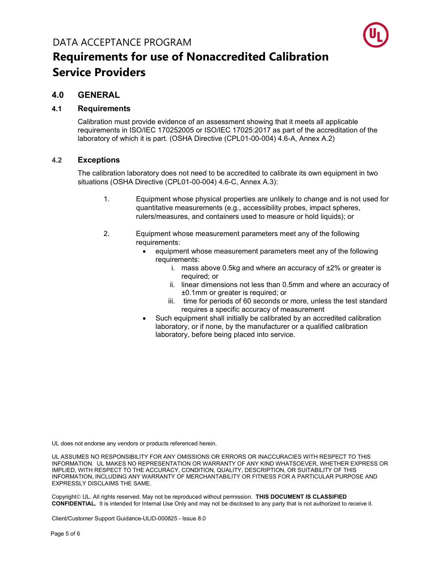

#### <span id="page-4-0"></span>**4.0 GENERAL**

#### **4.1 Requirements**

Calibration must provide evidence of an assessment showing that it meets all applicable requirements in ISO/IEC 170252005 or ISO/IEC 17025:2017 as part of the accreditation of the laboratory of which it is part. (OSHA Directive (CPL01-00-004) 4.6-A, Annex A.2)

#### <span id="page-4-1"></span>**4.2 Exceptions**

The calibration laboratory does not need to be accredited to calibrate its own equipment in two situations (OSHA Directive (CPL01-00-004) 4.6-C, Annex A.3):

- 1. Equipment whose physical properties are unlikely to change and is not used for quantitative measurements (e.g., accessibility probes, impact spheres, rulers/measures, and containers used to measure or hold liquids); or
- 2. Equipment whose measurement parameters meet any of the following requirements:
	- equipment whose measurement parameters meet any of the following requirements:
		- i. mass above 0.5kg and where an accuracy of ±2% or greater is required; or
		- ii. linear dimensions not less than 0.5mm and where an accuracy of ±0.1mm or greater is required; or
		- iii. time for periods of 60 seconds or more, unless the test standard requires a specific accuracy of measurement
	- Such equipment shall initially be calibrated by an accredited calibration laboratory, or if none, by the manufacturer or a qualified calibration laboratory, before being placed into service.

UL does not endorse any vendors or products referenced herein.

UL ASSUMES NO RESPONSIBILITY FOR ANY OMISSIONS OR ERRORS OR INACCURACIES WITH RESPECT TO THIS INFORMATION. UL MAKES NO REPRESENTATION OR WARRANTY OF ANY KIND WHATSOEVER, WHETHER EXPRESS OR IMPLIED, WITH RESPECT TO THE ACCURACY, CONDITION, QUALITY, DESCRIPTION, OR SUITABILITY OF THIS INFORMATION, INCLUDING ANY WARRANTY OF MERCHANTABILITY OR FITNESS FOR A PARTICULAR PURPOSE AND EXPRESSLY DISCLAIMS THE SAME.

Copyright<sup>©</sup> UL. All rights reserved. May not be reproduced without permission. THIS DOCUMENT IS CLASSIFIED **CONFIDENTIAL.** It is intended for Internal Use Only and may not be disclosed to any party that is not authorized to receive it.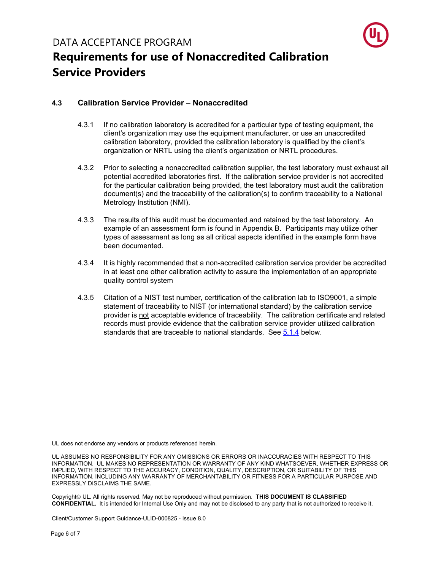

#### <span id="page-5-0"></span>**4.3 Calibration Service Provider** – **Nonaccredited**

- 4.3.1 If no calibration laboratory is accredited for a particular type of testing equipment, the client's organization may use the equipment manufacturer, or use an unaccredited calibration laboratory, provided the calibration laboratory is qualified by the client's organization or NRTL using the client's organization or NRTL procedures.
- 4.3.2 Prior to selecting a nonaccredited calibration supplier, the test laboratory must exhaust all potential accredited laboratories first. If the calibration service provider is not accredited for the particular calibration being provided, the test laboratory must audit the calibration document(s) and the traceability of the calibration(s) to confirm traceability to a National Metrology Institution (NMI).
- 4.3.3 The results of this audit must be documented and retained by the test laboratory. An example of an assessment form is found in Appendix B. Participants may utilize other types of assessment as long as all critical aspects identified in the example form have been documented.
- 4.3.4 It is highly recommended that a non-accredited calibration service provider be accredited in at least one other calibration activity to assure the implementation of an appropriate quality control system
- 4.3.5 Citation of a NIST test number, certification of the calibration lab to ISO9001, a simple statement of traceability to NIST (or international standard) by the calibration service provider is not acceptable evidence of traceability. The calibration certificate and related records must provide evidence that the calibration service provider utilized calibration standards that are traceable to national standards. See [5.1.4](#page-6-1) below.

UL does not endorse any vendors or products referenced herein.

UL ASSUMES NO RESPONSIBILITY FOR ANY OMISSIONS OR ERRORS OR INACCURACIES WITH RESPECT TO THIS INFORMATION. UL MAKES NO REPRESENTATION OR WARRANTY OF ANY KIND WHATSOEVER, WHETHER EXPRESS OR IMPLIED, WITH RESPECT TO THE ACCURACY, CONDITION, QUALITY, DESCRIPTION, OR SUITABILITY OF THIS INFORMATION, INCLUDING ANY WARRANTY OF MERCHANTABILITY OR FITNESS FOR A PARTICULAR PURPOSE AND EXPRESSLY DISCLAIMS THE SAME.

Copyright<sup>©</sup> UL. All rights reserved. May not be reproduced without permission. THIS DOCUMENT IS CLASSIFIED **CONFIDENTIAL.** It is intended for Internal Use Only and may not be disclosed to any party that is not authorized to receive it.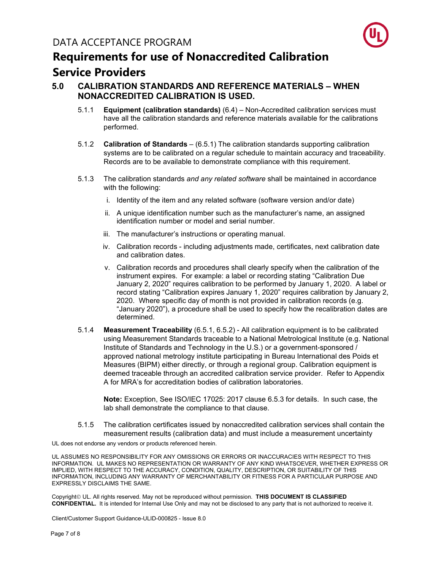

#### <span id="page-6-0"></span>**5.0 CALIBRATION STANDARDS AND REFERENCE MATERIALS – WHEN NONACCREDITED CALIBRATION IS USED.**

- 5.1.1 **Equipment (calibration standards)** (6.4) Non-Accredited calibration services must have all the calibration standards and reference materials available for the calibrations performed.
- 5.1.2 **Calibration of Standards** (6.5.1) The calibration standards supporting calibration systems are to be calibrated on a regular schedule to maintain accuracy and traceability. Records are to be available to demonstrate compliance with this requirement.
- 5.1.3 The calibration standards *and any related software* shall be maintained in accordance with the following:
	- i. Identity of the item and any related software (software version and/or date)
	- ii. A unique identification number such as the manufacturer's name, an assigned identification number or model and serial number.
	- iii. The manufacturer's instructions or operating manual.
	- iv. Calibration records including adjustments made, certificates, next calibration date and calibration dates.
	- v. Calibration records and procedures shall clearly specify when the calibration of the instrument expires. For example: a label or recording stating "Calibration Due January 2, 2020" requires calibration to be performed by January 1, 2020. A label or record stating "Calibration expires January 1, 2020" requires calibration by January 2, 2020. Where specific day of month is not provided in calibration records (e.g. "January 2020"), a procedure shall be used to specify how the recalibration dates are determined.
- <span id="page-6-1"></span>5.1.4 **Measurement Traceability** (6.5.1, 6.5.2) - All calibration equipment is to be calibrated using Measurement Standards traceable to a National Metrological Institute (e.g. National Institute of Standards and Technology in the U.S.) or a government-sponsored / approved national metrology institute participating in Bureau International des Poids et Measures (BIPM) either directly, or through a regional group. Calibration equipment is deemed traceable through an accredited calibration service provider. Refer to Appendix A for MRA's for accreditation bodies of calibration laboratories.

**Note:** Exception, See ISO/IEC 17025: 2017 clause 6.5.3 for details. In such case, the lab shall demonstrate the compliance to that clause.

5.1.5 The calibration certificates issued by nonaccredited calibration services shall contain the measurement results (calibration data) and must include a measurement uncertainty

UL does not endorse any vendors or products referenced herein.

UL ASSUMES NO RESPONSIBILITY FOR ANY OMISSIONS OR ERRORS OR INACCURACIES WITH RESPECT TO THIS INFORMATION. UL MAKES NO REPRESENTATION OR WARRANTY OF ANY KIND WHATSOEVER, WHETHER EXPRESS OR IMPLIED, WITH RESPECT TO THE ACCURACY, CONDITION, QUALITY, DESCRIPTION, OR SUITABILITY OF THIS INFORMATION, INCLUDING ANY WARRANTY OF MERCHANTABILITY OR FITNESS FOR A PARTICULAR PURPOSE AND EXPRESSLY DISCLAIMS THE SAME.

Copyright<sup>©</sup> UL. All rights reserved. May not be reproduced without permission. THIS DOCUMENT IS CLASSIFIED **CONFIDENTIAL.** It is intended for Internal Use Only and may not be disclosed to any party that is not authorized to receive it.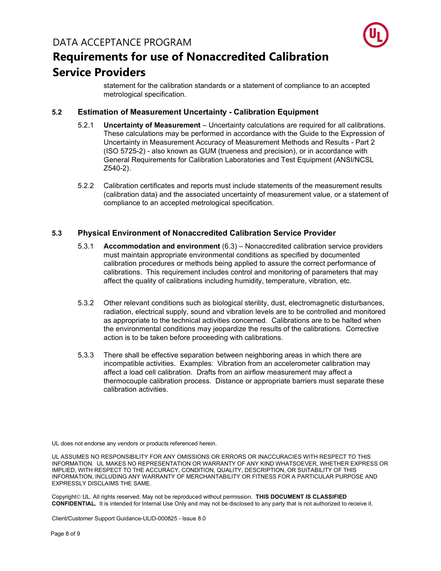

statement for the calibration standards or a statement of compliance to an accepted metrological specification.

#### <span id="page-7-0"></span>**5.2 Estimation of Measurement Uncertainty - Calibration Equipment**

- 5.2.1 **Uncertainty of Measurement** Uncertainty calculations are required for all calibrations. These calculations may be performed in accordance with the Guide to the Expression of Uncertainty in Measurement Accuracy of Measurement Methods and Results - Part 2 (ISO 5725-2) - also known as GUM (trueness and precision), or in accordance with General Requirements for Calibration Laboratories and Test Equipment (ANSI/NCSL Z540-2).
- 5.2.2 Calibration certificates and reports must include statements of the measurement results (calibration data) and the associated uncertainty of measurement value, or a statement of compliance to an accepted metrological specification.

#### <span id="page-7-1"></span>**5.3 Physical Environment of Nonaccredited Calibration Service Provider**

- 5.3.1 **Accommodation and environment** (6.3) Nonaccredited calibration service providers must maintain appropriate environmental conditions as specified by documented calibration procedures or methods being applied to assure the correct performance of calibrations. This requirement includes control and monitoring of parameters that may affect the quality of calibrations including humidity, temperature, vibration, etc.
- 5.3.2 Other relevant conditions such as biological sterility, dust, electromagnetic disturbances, radiation, electrical supply, sound and vibration levels are to be controlled and monitored as appropriate to the technical activities concerned. Calibrations are to be halted when the environmental conditions may jeopardize the results of the calibrations. Corrective action is to be taken before proceeding with calibrations.
- 5.3.3 There shall be effective separation between neighboring areas in which there are incompatible activities. Examples: Vibration from an accelerometer calibration may affect a load cell calibration. Drafts from an airflow measurement may affect a thermocouple calibration process. Distance or appropriate barriers must separate these calibration activities.

UL does not endorse any vendors or products referenced herein.

UL ASSUMES NO RESPONSIBILITY FOR ANY OMISSIONS OR ERRORS OR INACCURACIES WITH RESPECT TO THIS INFORMATION. UL MAKES NO REPRESENTATION OR WARRANTY OF ANY KIND WHATSOEVER, WHETHER EXPRESS OR IMPLIED, WITH RESPECT TO THE ACCURACY, CONDITION, QUALITY, DESCRIPTION, OR SUITABILITY OF THIS INFORMATION, INCLUDING ANY WARRANTY OF MERCHANTABILITY OR FITNESS FOR A PARTICULAR PURPOSE AND EXPRESSLY DISCLAIMS THE SAME.

Copyright<sup>©</sup> UL. All rights reserved. May not be reproduced without permission. THIS DOCUMENT IS CLASSIFIED **CONFIDENTIAL.** It is intended for Internal Use Only and may not be disclosed to any party that is not authorized to receive it.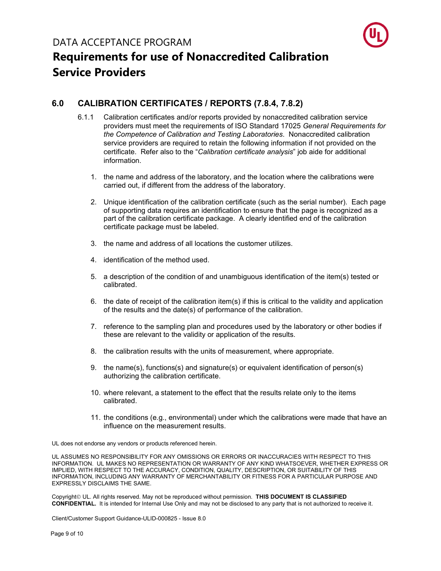

#### <span id="page-8-0"></span>**6.0 CALIBRATION CERTIFICATES / REPORTS (7.8.4, 7.8.2)**

- 6.1.1 Calibration certificates and/or reports provided by nonaccredited calibration service providers must meet the requirements of ISO Standard 17025 *General Requirements for the Competence of Calibration and Testing Laboratories*. Nonaccredited calibration service providers are required to retain the following information if not provided on the certificate. Refer also to the "*Calibration certificate analysis*" job aide for additional information.
	- 1. the name and address of the laboratory, and the location where the calibrations were carried out, if different from the address of the laboratory.
	- 2. Unique identification of the calibration certificate (such as the serial number). Each page of supporting data requires an identification to ensure that the page is recognized as a part of the calibration certificate package. A clearly identified end of the calibration certificate package must be labeled.
	- 3. the name and address of all locations the customer utilizes.
	- 4. identification of the method used.
	- 5. a description of the condition of and unambiguous identification of the item(s) tested or calibrated.
	- 6. the date of receipt of the calibration item(s) if this is critical to the validity and application of the results and the date(s) of performance of the calibration.
	- 7. reference to the sampling plan and procedures used by the laboratory or other bodies if these are relevant to the validity or application of the results.
	- 8. the calibration results with the units of measurement, where appropriate.
	- 9. the name(s), functions(s) and signature(s) or equivalent identification of person(s) authorizing the calibration certificate.
	- 10. where relevant, a statement to the effect that the results relate only to the items calibrated.
	- 11. the conditions (e.g., environmental) under which the calibrations were made that have an influence on the measurement results.

UL does not endorse any vendors or products referenced herein.

UL ASSUMES NO RESPONSIBILITY FOR ANY OMISSIONS OR ERRORS OR INACCURACIES WITH RESPECT TO THIS INFORMATION. UL MAKES NO REPRESENTATION OR WARRANTY OF ANY KIND WHATSOEVER, WHETHER EXPRESS OR IMPLIED, WITH RESPECT TO THE ACCURACY, CONDITION, QUALITY, DESCRIPTION, OR SUITABILITY OF THIS INFORMATION, INCLUDING ANY WARRANTY OF MERCHANTABILITY OR FITNESS FOR A PARTICULAR PURPOSE AND EXPRESSLY DISCLAIMS THE SAME.

Copyright<sup>©</sup> UL. All rights reserved. May not be reproduced without permission. THIS DOCUMENT IS CLASSIFIED **CONFIDENTIAL.** It is intended for Internal Use Only and may not be disclosed to any party that is not authorized to receive it.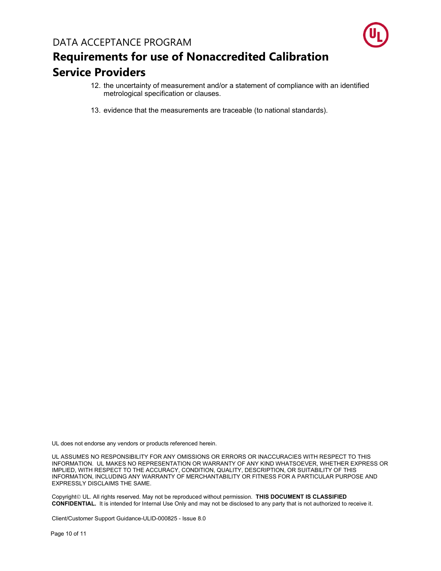

- 12. the uncertainty of measurement and/or a statement of compliance with an identified metrological specification or clauses.
- 13. evidence that the measurements are traceable (to national standards).

UL does not endorse any vendors or products referenced herein.

UL ASSUMES NO RESPONSIBILITY FOR ANY OMISSIONS OR ERRORS OR INACCURACIES WITH RESPECT TO THIS INFORMATION. UL MAKES NO REPRESENTATION OR WARRANTY OF ANY KIND WHATSOEVER, WHETHER EXPRESS OR IMPLIED, WITH RESPECT TO THE ACCURACY, CONDITION, QUALITY, DESCRIPTION, OR SUITABILITY OF THIS INFORMATION, INCLUDING ANY WARRANTY OF MERCHANTABILITY OR FITNESS FOR A PARTICULAR PURPOSE AND EXPRESSLY DISCLAIMS THE SAME.

Copyright<sup>©</sup> UL. All rights reserved. May not be reproduced without permission. THIS DOCUMENT IS CLASSIFIED **CONFIDENTIAL.** It is intended for Internal Use Only and may not be disclosed to any party that is not authorized to receive it.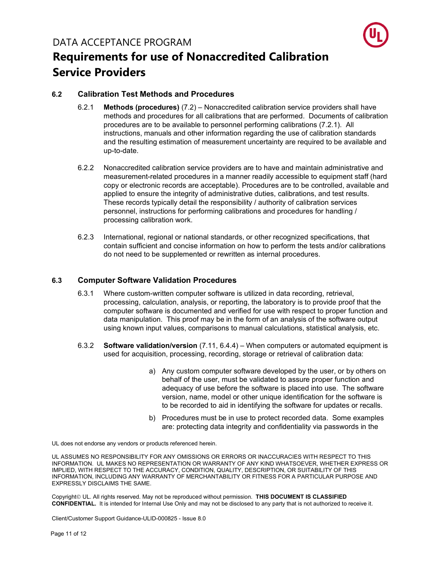

#### <span id="page-10-0"></span>**6.2 Calibration Test Methods and Procedures**

- 6.2.1 **Methods (procedures)** (7.2) Nonaccredited calibration service providers shall have methods and procedures for all calibrations that are performed. Documents of calibration procedures are to be available to personnel performing calibrations (7.2.1). All instructions, manuals and other information regarding the use of calibration standards and the resulting estimation of measurement uncertainty are required to be available and up-to-date.
- 6.2.2 Nonaccredited calibration service providers are to have and maintain administrative and measurement-related procedures in a manner readily accessible to equipment staff (hard copy or electronic records are acceptable). Procedures are to be controlled, available and applied to ensure the integrity of administrative duties, calibrations, and test results. These records typically detail the responsibility / authority of calibration services personnel, instructions for performing calibrations and procedures for handling / processing calibration work.
- 6.2.3 International, regional or national standards, or other recognized specifications, that contain sufficient and concise information on how to perform the tests and/or calibrations do not need to be supplemented or rewritten as internal procedures.

#### <span id="page-10-1"></span>**6.3 Computer Software Validation Procedures**

- 6.3.1 Where custom-written computer software is utilized in data recording, retrieval, processing, calculation, analysis, or reporting, the laboratory is to provide proof that the computer software is documented and verified for use with respect to proper function and data manipulation. This proof may be in the form of an analysis of the software output using known input values, comparisons to manual calculations, statistical analysis, etc.
- 6.3.2 **Software validation/version** (7.11, 6.4.4) When computers or automated equipment is used for acquisition, processing, recording, storage or retrieval of calibration data:
	- a) Any custom computer software developed by the user, or by others on behalf of the user, must be validated to assure proper function and adequacy of use before the software is placed into use. The software version, name, model or other unique identification for the software is to be recorded to aid in identifying the software for updates or recalls.
	- b) Procedures must be in use to protect recorded data. Some examples are: protecting data integrity and confidentiality via passwords in the

UL does not endorse any vendors or products referenced herein.

UL ASSUMES NO RESPONSIBILITY FOR ANY OMISSIONS OR ERRORS OR INACCURACIES WITH RESPECT TO THIS INFORMATION. UL MAKES NO REPRESENTATION OR WARRANTY OF ANY KIND WHATSOEVER, WHETHER EXPRESS OR IMPLIED, WITH RESPECT TO THE ACCURACY, CONDITION, QUALITY, DESCRIPTION, OR SUITABILITY OF THIS INFORMATION, INCLUDING ANY WARRANTY OF MERCHANTABILITY OR FITNESS FOR A PARTICULAR PURPOSE AND EXPRESSLY DISCLAIMS THE SAME.

Copyright<sup>©</sup> UL. All rights reserved. May not be reproduced without permission. THIS DOCUMENT IS CLASSIFIED **CONFIDENTIAL.** It is intended for Internal Use Only and may not be disclosed to any party that is not authorized to receive it.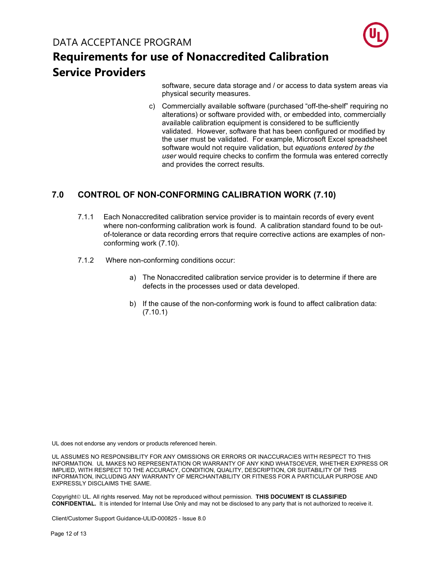## **Requirements for use of Nonaccredited Calibration Service Providers**

software, secure data storage and / or access to data system areas via physical security measures.

c) Commercially available software (purchased "off-the-shelf" requiring no alterations) or software provided with, or embedded into, commercially available calibration equipment is considered to be sufficiently validated. However, software that has been configured or modified by the user must be validated. For example, Microsoft Excel spreadsheet software would not require validation, but *equations entered by the user* would require checks to confirm the formula was entered correctly and provides the correct results.

#### <span id="page-11-0"></span>**7.0 CONTROL OF NON-CONFORMING CALIBRATION WORK (7.10)**

- 7.1.1 Each Nonaccredited calibration service provider is to maintain records of every event where non-conforming calibration work is found. A calibration standard found to be outof-tolerance or data recording errors that require corrective actions are examples of nonconforming work (7.10).
- 7.1.2 Where non-conforming conditions occur:
	- a) The Nonaccredited calibration service provider is to determine if there are defects in the processes used or data developed.
	- b) If the cause of the non-conforming work is found to affect calibration data: (7.10.1)

UL does not endorse any vendors or products referenced herein.

UL ASSUMES NO RESPONSIBILITY FOR ANY OMISSIONS OR ERRORS OR INACCURACIES WITH RESPECT TO THIS INFORMATION. UL MAKES NO REPRESENTATION OR WARRANTY OF ANY KIND WHATSOEVER, WHETHER EXPRESS OR IMPLIED, WITH RESPECT TO THE ACCURACY, CONDITION, QUALITY, DESCRIPTION, OR SUITABILITY OF THIS INFORMATION, INCLUDING ANY WARRANTY OF MERCHANTABILITY OR FITNESS FOR A PARTICULAR PURPOSE AND EXPRESSLY DISCLAIMS THE SAME.

Copyright<sup>©</sup> UL. All rights reserved. May not be reproduced without permission. **THIS DOCUMENT IS CLASSIFIED CONFIDENTIAL.** It is intended for Internal Use Only and may not be disclosed to any party that is not authorized to receive it.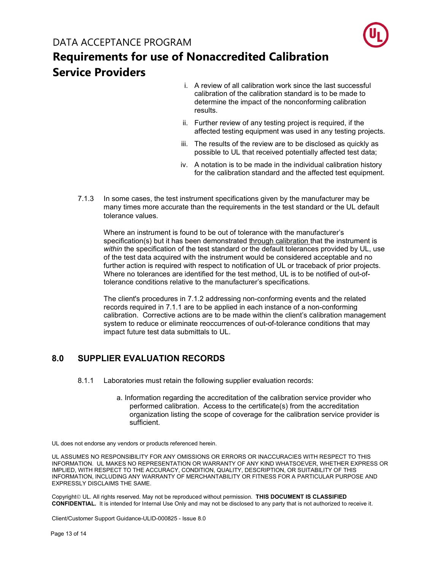

## **Requirements for use of Nonaccredited Calibration Service Providers**

- i. A review of all calibration work since the last successful calibration of the calibration standard is to be made to determine the impact of the nonconforming calibration results.
- ii. Further review of any testing project is required, if the affected testing equipment was used in any testing projects.
- iii. The results of the review are to be disclosed as quickly as possible to UL that received potentially affected test data;
- iv. A notation is to be made in the individual calibration history for the calibration standard and the affected test equipment.
- 7.1.3 In some cases, the test instrument specifications given by the manufacturer may be many times more accurate than the requirements in the test standard or the UL default tolerance values.

Where an instrument is found to be out of tolerance with the manufacturer's specification(s) but it has been demonstrated through calibration that the instrument is *within* the specification of the test standard or the default tolerances provided by UL, use of the test data acquired with the instrument would be considered acceptable and no further action is required with respect to notification of UL or traceback of prior projects. Where no tolerances are identified for the test method, UL is to be notified of out-oftolerance conditions relative to the manufacturer's specifications.

The client's procedures in 7.1.2 addressing non-conforming events and the related records required in 7.1.1 are to be applied in each instance of a non-conforming calibration. Corrective actions are to be made within the client's calibration management system to reduce or eliminate reoccurrences of out-of-tolerance conditions that may impact future test data submittals to UL.

#### <span id="page-12-0"></span>**8.0 SUPPLIER EVALUATION RECORDS**

- 8.1.1 Laboratories must retain the following supplier evaluation records:
	- a. Information regarding the accreditation of the calibration service provider who performed calibration. Access to the certificate(s) from the accreditation organization listing the scope of coverage for the calibration service provider is sufficient.

UL does not endorse any vendors or products referenced herein.

UL ASSUMES NO RESPONSIBILITY FOR ANY OMISSIONS OR ERRORS OR INACCURACIES WITH RESPECT TO THIS INFORMATION. UL MAKES NO REPRESENTATION OR WARRANTY OF ANY KIND WHATSOEVER, WHETHER EXPRESS OR IMPLIED, WITH RESPECT TO THE ACCURACY, CONDITION, QUALITY, DESCRIPTION, OR SUITABILITY OF THIS INFORMATION, INCLUDING ANY WARRANTY OF MERCHANTABILITY OR FITNESS FOR A PARTICULAR PURPOSE AND EXPRESSLY DISCLAIMS THE SAME.

Copyright<sup>©</sup> UL. All rights reserved. May not be reproduced without permission. THIS DOCUMENT IS CLASSIFIED **CONFIDENTIAL.** It is intended for Internal Use Only and may not be disclosed to any party that is not authorized to receive it.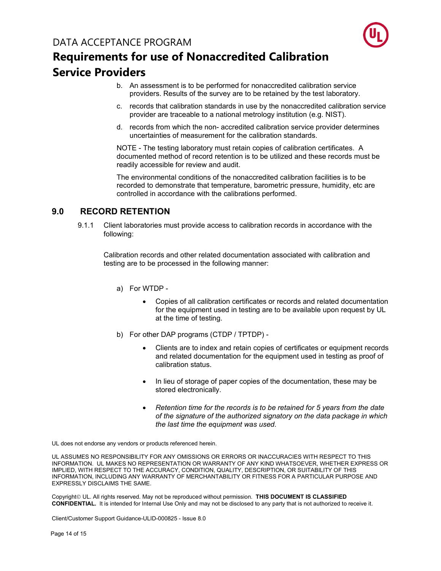

- b. An assessment is to be performed for nonaccredited calibration service providers. Results of the survey are to be retained by the test laboratory.
- c. records that calibration standards in use by the nonaccredited calibration service provider are traceable to a national metrology institution (e.g. NIST).
- d. records from which the non- accredited calibration service provider determines uncertainties of measurement for the calibration standards.

NOTE - The testing laboratory must retain copies of calibration certificates. A documented method of record retention is to be utilized and these records must be readily accessible for review and audit.

The environmental conditions of the nonaccredited calibration facilities is to be recorded to demonstrate that temperature, barometric pressure, humidity, etc are controlled in accordance with the calibrations performed.

#### **9.0 RECORD RETENTION**

<span id="page-13-0"></span>9.1.1 Client laboratories must provide access to calibration records in accordance with the following:

Calibration records and other related documentation associated with calibration and testing are to be processed in the following manner:

- a) For WTDP
	- Copies of all calibration certificates or records and related documentation for the equipment used in testing are to be available upon request by UL at the time of testing.
- b) For other DAP programs (CTDP / TPTDP)
	- Clients are to index and retain copies of certificates or equipment records and related documentation for the equipment used in testing as proof of calibration status.
	- In lieu of storage of paper copies of the documentation, these may be stored electronically.
	- *Retention time for the records is to be retained for 5 years from the date of the signature of the authorized signatory on the data package in which the last time the equipment was used*.

UL does not endorse any vendors or products referenced herein.

UL ASSUMES NO RESPONSIBILITY FOR ANY OMISSIONS OR ERRORS OR INACCURACIES WITH RESPECT TO THIS INFORMATION. UL MAKES NO REPRESENTATION OR WARRANTY OF ANY KIND WHATSOEVER, WHETHER EXPRESS OR IMPLIED, WITH RESPECT TO THE ACCURACY, CONDITION, QUALITY, DESCRIPTION, OR SUITABILITY OF THIS INFORMATION, INCLUDING ANY WARRANTY OF MERCHANTABILITY OR FITNESS FOR A PARTICULAR PURPOSE AND EXPRESSLY DISCLAIMS THE SAME.

Copyright<sup>©</sup> UL. All rights reserved. May not be reproduced without permission. THIS DOCUMENT IS CLASSIFIED **CONFIDENTIAL.** It is intended for Internal Use Only and may not be disclosed to any party that is not authorized to receive it.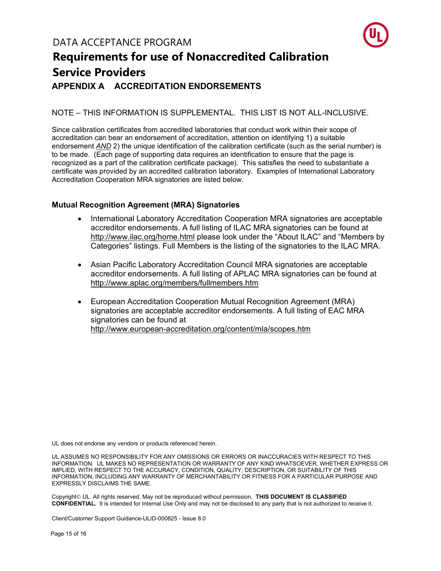

## **Requirements for use of Nonaccredited Calibration Service Providers APPENDIX A ACCREDITATION ENDORSEMENTS**

#### <span id="page-14-0"></span>NOTE – THIS INFORMATION IS SUPPLEMENTAL. THIS LIST IS NOT ALL-INCLUSIVE.

Since calibration certificates from accredited laboratories that conduct work within their scope of accreditation can bear an endorsement of accreditation, attention on identifying 1) a suitable endorsement *AND* 2) the unique identification of the calibration certificate (such as the serial number) is to be made. (Each page of supporting data requires an identification to ensure that the page is recognized as a part of the calibration certificate package). This satisfies the need to substantiate a certificate was provided by an accredited calibration laboratory. Examples of International Laboratory Accreditation Cooperation MRA signatories are listed below.

#### <span id="page-14-1"></span>**Mutual Recognition Agreement (MRA) Signatories**

- International Laboratory Accreditation Cooperation MRA signatories are acceptable accreditor endorsements. A full listing of ILAC MRA signatories can be found at http://www.ilac.org/home.html please look under the "About ILAC" and "Members by Categories" listings. Full Members is the listing of the signatories to the ILAC MRA.
- Asian Pacific Laboratory Accreditation Council MRA signatories are acceptable accreditor endorsements. A full listing of APLAC MRA signatories can be found at http://www.aplac.org/members/fullmembers.htm
- European Accreditation Cooperation Mutual Recognition Agreement (MRA) signatories are acceptable accreditor endorsements. A full listing of EAC MRA signatories can be found at http://www.european-accreditation.org/content/mla/scopes.htm

UL does not endorse any vendors or products referenced herein.

UL ASSUMES NO RESPONSIBILITY FOR ANY OMISSIONS OR ERRORS OR INACCURACIES WITH RESPECT TO THIS INFORMATION. UL MAKES NO REPRESENTATION OR WARRANTY OF ANY KIND WHATSOEVER, WHETHER EXPRESS OR IMPLIED, WITH RESPECT TO THE ACCURACY, CONDITION, QUALITY, DESCRIPTION, OR SUITABILITY OF THIS INFORMATION, INCLUDING ANY WARRANTY OF MERCHANTABILITY OR FITNESS FOR A PARTICULAR PURPOSE AND EXPRESSLY DISCLAIMS THE SAME.

Copyright<sup>©</sup> UL. All rights reserved. May not be reproduced without permission. THIS DOCUMENT IS CLASSIFIED **CONFIDENTIAL.** It is intended for Internal Use Only and may not be disclosed to any party that is not authorized to receive it.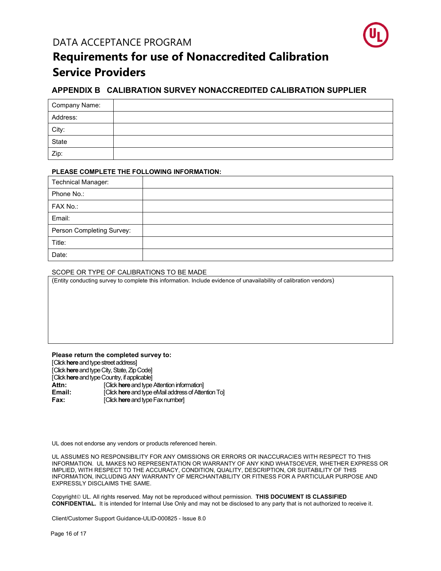

### **Requirements for use of Nonaccredited Calibration Service Providers**

#### <span id="page-15-0"></span>**APPENDIX B CALIBRATION SURVEY NONACCREDITED CALIBRATION SUPPLIER**

| Company Name: |  |
|---------------|--|
| Address:      |  |
| City:         |  |
| State         |  |
| Zip:          |  |

#### **PLEASE COMPLETE THE FOLLOWING INFORMATION:**

| <b>Technical Manager:</b> |  |
|---------------------------|--|
| Phone No.:                |  |
| FAX No.:                  |  |
| Email:                    |  |
| Person Completing Survey: |  |
| Title:                    |  |
| Date:                     |  |

#### SCOPE OR TYPE OF CALIBRATIONS TO BE MADE

(Entity conducting survey to complete this information. Include evidence of unavailability of calibration vendors)

#### **Please return the completed survey to:**

[Click **here**and type street address] [Click **here**and type City, State, Zip Code] [Click **here**and type Country, if applicable] **Attn:** *Click here* and type Attention information]<br> **Email: Click here** and type eMail address of Atten **Email: Example 2** [Click **here** and type eMail address of Attention To]<br> **Fax: Example 2 EQUAL EXAMPLE CONSTANT Fax number**]

UL does not endorse any vendors or products referenced herein.

UL ASSUMES NO RESPONSIBILITY FOR ANY OMISSIONS OR ERRORS OR INACCURACIES WITH RESPECT TO THIS INFORMATION. UL MAKES NO REPRESENTATION OR WARRANTY OF ANY KIND WHATSOEVER, WHETHER EXPRESS OR IMPLIED, WITH RESPECT TO THE ACCURACY, CONDITION, QUALITY, DESCRIPTION, OR SUITABILITY OF THIS INFORMATION, INCLUDING ANY WARRANTY OF MERCHANTABILITY OR FITNESS FOR A PARTICULAR PURPOSE AND EXPRESSLY DISCLAIMS THE SAME.

Copyright<sup>©</sup> UL. All rights reserved. May not be reproduced without permission. **THIS DOCUMENT IS CLASSIFIED CONFIDENTIAL.** It is intended for Internal Use Only and may not be disclosed to any party that is not authorized to receive it.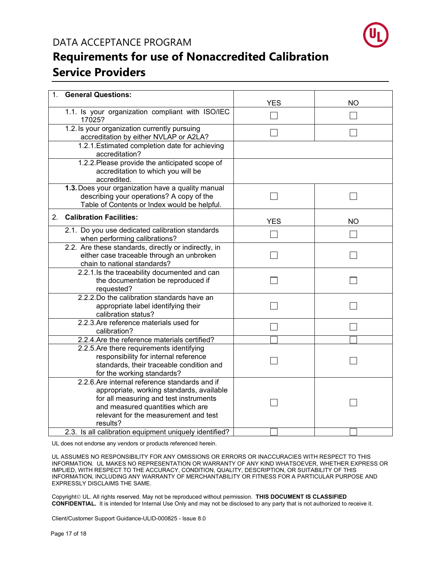

### **Requirements for use of Nonaccredited Calibration Service Providers**

| 1 <sub>1</sub> | <b>General Questions:</b>                                                                                                                                                                                                                                                                 | <b>YES</b> | <b>NO</b> |
|----------------|-------------------------------------------------------------------------------------------------------------------------------------------------------------------------------------------------------------------------------------------------------------------------------------------|------------|-----------|
|                | 1.1. Is your organization compliant with ISO/IEC<br>17025?                                                                                                                                                                                                                                |            |           |
|                | 1.2. Is your organization currently pursuing<br>accreditation by either NVLAP or A2LA?                                                                                                                                                                                                    |            |           |
|                | 1.2.1. Estimated completion date for achieving<br>accreditation?                                                                                                                                                                                                                          |            |           |
|                | 1.2.2. Please provide the anticipated scope of<br>accreditation to which you will be<br>accredited.                                                                                                                                                                                       |            |           |
|                | 1.3. Does your organization have a quality manual<br>describing your operations? A copy of the<br>Table of Contents or Index would be helpful.                                                                                                                                            |            |           |
| 2 <sup>1</sup> | <b>Calibration Facilities:</b>                                                                                                                                                                                                                                                            | <b>YES</b> | <b>NO</b> |
|                | 2.1. Do you use dedicated calibration standards<br>when performing calibrations?                                                                                                                                                                                                          |            |           |
|                | 2.2. Are these standards, directly or indirectly, in<br>either case traceable through an unbroken<br>chain to national standards?                                                                                                                                                         |            |           |
|                | 2.2.1.Is the traceability documented and can<br>the documentation be reproduced if<br>requested?                                                                                                                                                                                          |            |           |
|                | 2.2.2. Do the calibration standards have an<br>appropriate label identifying their<br>calibration status?                                                                                                                                                                                 |            |           |
|                | 2.2.3. Are reference materials used for<br>calibration?                                                                                                                                                                                                                                   |            |           |
|                | 2.2.4. Are the reference materials certified?                                                                                                                                                                                                                                             |            |           |
|                | 2.2.5. Are there requirements identifying<br>responsibility for internal reference<br>standards, their traceable condition and<br>for the working standards?                                                                                                                              |            |           |
|                | 2.2.6. Are internal reference standards and if<br>appropriate, working standards, available<br>for all measuring and test instruments<br>and measured quantities which are<br>relevant for the measurement and test<br>results?<br>2.3. Is all calibration equipment uniquely identified? |            |           |
|                |                                                                                                                                                                                                                                                                                           |            |           |

UL does not endorse any vendors or products referenced herein.

UL ASSUMES NO RESPONSIBILITY FOR ANY OMISSIONS OR ERRORS OR INACCURACIES WITH RESPECT TO THIS INFORMATION. UL MAKES NO REPRESENTATION OR WARRANTY OF ANY KIND WHATSOEVER, WHETHER EXPRESS OR IMPLIED, WITH RESPECT TO THE ACCURACY, CONDITION, QUALITY, DESCRIPTION, OR SUITABILITY OF THIS INFORMATION, INCLUDING ANY WARRANTY OF MERCHANTABILITY OR FITNESS FOR A PARTICULAR PURPOSE AND EXPRESSLY DISCLAIMS THE SAME.

Copyright<sup>©</sup> UL. All rights reserved. May not be reproduced without permission. **THIS DOCUMENT IS CLASSIFIED CONFIDENTIAL.** It is intended for Internal Use Only and may not be disclosed to any party that is not authorized to receive it.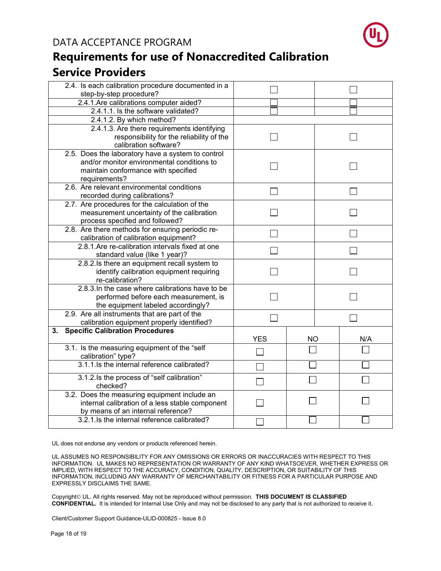



| 2.4. Is each calibration procedure documented in a                 |            |           |  |     |
|--------------------------------------------------------------------|------------|-----------|--|-----|
| step-by-step procedure?                                            |            |           |  |     |
| 2.4.1.Are calibrations computer aided?                             |            |           |  |     |
| 2.4.1.1. Is the software validated?                                |            |           |  |     |
| 2.4.1.2. By which method?                                          |            |           |  |     |
| 2.4.1.3. Are there requirements identifying                        |            |           |  |     |
| responsibility for the reliability of the                          |            |           |  |     |
| calibration software?                                              |            |           |  |     |
| 2.5. Does the laboratory have a system to control                  |            |           |  |     |
| and/or monitor environmental conditions to                         |            |           |  |     |
| maintain conformance with specified                                |            |           |  |     |
| requirements?                                                      |            |           |  |     |
| 2.6. Are relevant environmental conditions                         |            |           |  |     |
| recorded during calibrations?                                      |            |           |  |     |
| 2.7. Are procedures for the calculation of the                     |            |           |  |     |
| measurement uncertainty of the calibration                         |            |           |  |     |
| process specified and followed?                                    |            |           |  |     |
| 2.8. Are there methods for ensuring periodic re-                   |            |           |  |     |
| calibration of calibration equipment?                              |            |           |  |     |
| 2.8.1. Are re-calibration intervals fixed at one                   |            |           |  |     |
| standard value (like 1 year)?                                      |            |           |  |     |
| 2.8.2.Is there an equipment recall system to                       |            |           |  |     |
| identify calibration equipment requiring                           |            |           |  |     |
| re-calibration?                                                    |            |           |  |     |
| 2.8.3. In the case where calibrations have to be                   |            |           |  |     |
| performed before each measurement, is                              |            |           |  |     |
| the equipment labeled accordingly?                                 |            |           |  |     |
| 2.9. Are all instruments that are part of the                      |            |           |  |     |
| calibration equipment properly identified?                         |            |           |  |     |
| <b>Specific Calibration Procedures</b><br>3.                       |            |           |  |     |
|                                                                    | <b>YES</b> | <b>NO</b> |  | N/A |
| 3.1. Is the measuring equipment of the "self                       |            |           |  |     |
| calibration" type?<br>3.1.1. Is the internal reference calibrated? |            |           |  |     |
|                                                                    |            |           |  |     |
| 3.1.2. Is the process of "self calibration"                        |            |           |  |     |
| checked?                                                           |            |           |  |     |
| 3.2. Does the measuring equipment include an                       |            |           |  |     |
| internal calibration of a less stable component                    |            |           |  |     |
| by means of an internal reference?                                 |            |           |  |     |
| 3.2.1.Is the internal reference calibrated?                        |            |           |  |     |

UL does not endorse any vendors or products referenced herein.

UL ASSUMES NO RESPONSIBILITY FOR ANY OMISSIONS OR ERRORS OR INACCURACIES WITH RESPECT TO THIS INFORMATION. UL MAKES NO REPRESENTATION OR WARRANTY OF ANY KIND WHATSOEVER, WHETHER EXPRESS OR IMPLIED, WITH RESPECT TO THE ACCURACY, CONDITION, QUALITY, DESCRIPTION, OR SUITABILITY OF THIS INFORMATION, INCLUDING ANY WARRANTY OF MERCHANTABILITY OR FITNESS FOR A PARTICULAR PURPOSE AND EXPRESSLY DISCLAIMS THE SAME.

Copyright<sup>©</sup> UL. All rights reserved. May not be reproduced without permission. **THIS DOCUMENT IS CLASSIFIED CONFIDENTIAL.** It is intended for Internal Use Only and may not be disclosed to any party that is not authorized to receive it.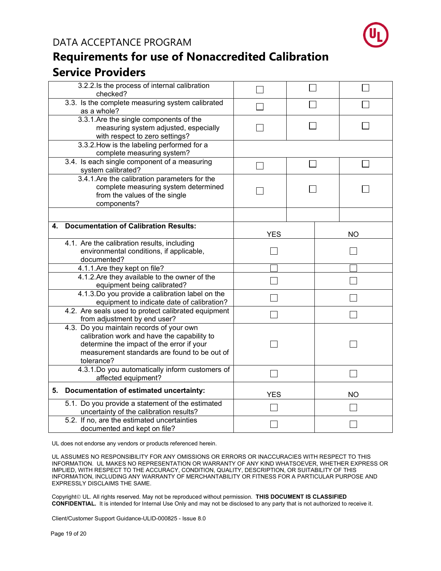

### **Requirements for use of Nonaccredited Calibration Service Providers**

|                                                                                                                                                                                                    | 3.2.2.1s the process of internal calibration<br>checked?                                                          |                          |  |  |           |
|----------------------------------------------------------------------------------------------------------------------------------------------------------------------------------------------------|-------------------------------------------------------------------------------------------------------------------|--------------------------|--|--|-----------|
|                                                                                                                                                                                                    | 3.3. Is the complete measuring system calibrated<br>as a whole?                                                   |                          |  |  |           |
|                                                                                                                                                                                                    | 3.3.1.Are the single components of the<br>measuring system adjusted, especially<br>with respect to zero settings? |                          |  |  |           |
|                                                                                                                                                                                                    | 3.3.2. How is the labeling performed for a<br>complete measuring system?                                          |                          |  |  |           |
|                                                                                                                                                                                                    | 3.4. Is each single component of a measuring<br>system calibrated?                                                | $\overline{\phantom{0}}$ |  |  |           |
| 3.4.1.Are the calibration parameters for the<br>complete measuring system determined<br>from the values of the single<br>components?                                                               |                                                                                                                   |                          |  |  |           |
|                                                                                                                                                                                                    |                                                                                                                   |                          |  |  |           |
| 4.                                                                                                                                                                                                 | <b>Documentation of Calibration Results:</b>                                                                      | <b>YES</b>               |  |  | <b>NO</b> |
| 4.1. Are the calibration results, including<br>environmental conditions, if applicable,<br>documented?                                                                                             |                                                                                                                   |                          |  |  |           |
| 4.1.1. Are they kept on file?                                                                                                                                                                      |                                                                                                                   |                          |  |  |           |
| 4.1.2. Are they available to the owner of the<br>equipment being calibrated?                                                                                                                       |                                                                                                                   |                          |  |  |           |
| 4.1.3.Do you provide a calibration label on the<br>equipment to indicate date of calibration?                                                                                                      |                                                                                                                   |                          |  |  |           |
| 4.2. Are seals used to protect calibrated equipment<br>from adjustment by end user?                                                                                                                |                                                                                                                   |                          |  |  |           |
| 4.3. Do you maintain records of your own<br>calibration work and have the capability to<br>determine the impact of the error if your<br>measurement standards are found to be out of<br>tolerance? |                                                                                                                   |                          |  |  |           |
| 4.3.1.Do you automatically inform customers of<br>affected equipment?                                                                                                                              |                                                                                                                   |                          |  |  |           |
| 5. Documentation of estimated uncertainty:                                                                                                                                                         |                                                                                                                   | <b>YES</b>               |  |  | <b>NO</b> |
|                                                                                                                                                                                                    | 5.1. Do you provide a statement of the estimated<br>uncertainty of the calibration results?                       |                          |  |  |           |
|                                                                                                                                                                                                    | 5.2. If no, are the estimated uncertainties<br>documented and kept on file?                                       |                          |  |  |           |

UL does not endorse any vendors or products referenced herein.

UL ASSUMES NO RESPONSIBILITY FOR ANY OMISSIONS OR ERRORS OR INACCURACIES WITH RESPECT TO THIS INFORMATION. UL MAKES NO REPRESENTATION OR WARRANTY OF ANY KIND WHATSOEVER, WHETHER EXPRESS OR IMPLIED, WITH RESPECT TO THE ACCURACY, CONDITION, QUALITY, DESCRIPTION, OR SUITABILITY OF THIS INFORMATION, INCLUDING ANY WARRANTY OF MERCHANTABILITY OR FITNESS FOR A PARTICULAR PURPOSE AND EXPRESSLY DISCLAIMS THE SAME.

Copyright<sup>©</sup> UL. All rights reserved. May not be reproduced without permission. THIS DOCUMENT IS CLASSIFIED **CONFIDENTIAL.** It is intended for Internal Use Only and may not be disclosed to any party that is not authorized to receive it.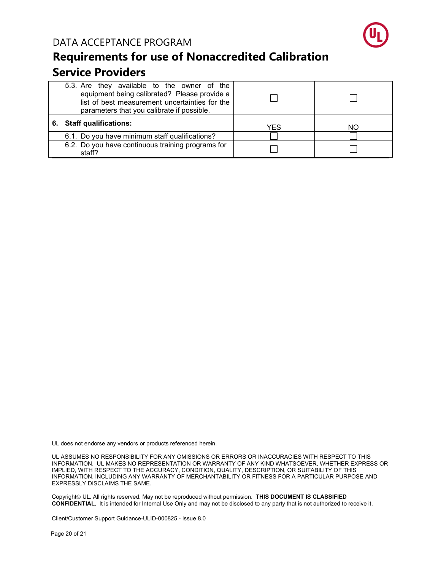

| 5.3. Are they available to the owner of the<br>equipment being calibrated? Please provide a<br>list of best measurement uncertainties for the<br>parameters that you calibrate if possible. |      |    |
|---------------------------------------------------------------------------------------------------------------------------------------------------------------------------------------------|------|----|
| 6. Staff qualifications:                                                                                                                                                                    | YES. | ΝO |
| 6.1. Do you have minimum staff qualifications?                                                                                                                                              |      |    |
| 6.2. Do you have continuous training programs for<br>staff?                                                                                                                                 |      |    |

UL does not endorse any vendors or products referenced herein.

UL ASSUMES NO RESPONSIBILITY FOR ANY OMISSIONS OR ERRORS OR INACCURACIES WITH RESPECT TO THIS INFORMATION. UL MAKES NO REPRESENTATION OR WARRANTY OF ANY KIND WHATSOEVER, WHETHER EXPRESS OR IMPLIED, WITH RESPECT TO THE ACCURACY, CONDITION, QUALITY, DESCRIPTION, OR SUITABILITY OF THIS INFORMATION, INCLUDING ANY WARRANTY OF MERCHANTABILITY OR FITNESS FOR A PARTICULAR PURPOSE AND EXPRESSLY DISCLAIMS THE SAME.

Copyright<sup>©</sup> UL. All rights reserved. May not be reproduced without permission. THIS DOCUMENT IS CLASSIFIED **CONFIDENTIAL.** It is intended for Internal Use Only and may not be disclosed to any party that is not authorized to receive it.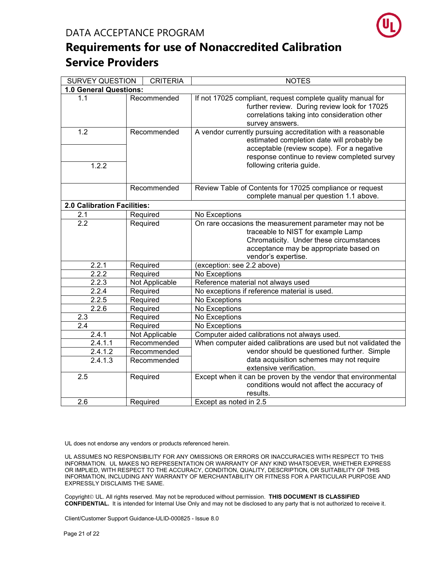

| <b>SURVEY QUESTION</b>      | <b>CRITERIA</b> | <b>NOTES</b>                                                                                                                                                                                                                        |
|-----------------------------|-----------------|-------------------------------------------------------------------------------------------------------------------------------------------------------------------------------------------------------------------------------------|
| 1.0 General Questions:      |                 |                                                                                                                                                                                                                                     |
| 1.1                         | Recommended     | If not 17025 compliant, request complete quality manual for<br>further review. During review look for 17025<br>correlations taking into consideration other<br>survey answers.                                                      |
| 1.2<br>1.2.2                | Recommended     | A vendor currently pursuing accreditation with a reasonable<br>estimated completion date will probably be<br>acceptable (review scope). For a negative<br>response continue to review completed survey<br>following criteria guide. |
|                             | Recommended     | Review Table of Contents for 17025 compliance or request<br>complete manual per question 1.1 above.                                                                                                                                 |
| 2.0 Calibration Facilities: |                 |                                                                                                                                                                                                                                     |
| 2.1                         | Required        | No Exceptions                                                                                                                                                                                                                       |
| 2.2                         | Required        | On rare occasions the measurement parameter may not be<br>traceable to NIST for example Lamp<br>Chromaticity. Under these circumstances<br>acceptance may be appropriate based on<br>vendor's expertise.                            |
| 2.2.1                       | Required        | (exception: see 2.2 above)                                                                                                                                                                                                          |
| 2.2.2                       | Required        | No Exceptions                                                                                                                                                                                                                       |
| 2.2.3                       | Not Applicable  | Reference material not always used                                                                                                                                                                                                  |
| 2.2.4                       | Required        | No exceptions if reference material is used.                                                                                                                                                                                        |
| 2.2.5                       | Required        | No Exceptions                                                                                                                                                                                                                       |
| 2.2.6                       | Required        | No Exceptions                                                                                                                                                                                                                       |
| 2.3                         | Required        | No Exceptions                                                                                                                                                                                                                       |
| $\overline{2.4}$            | Required        | No Exceptions                                                                                                                                                                                                                       |
| 2.4.1                       | Not Applicable  | Computer aided calibrations not always used.                                                                                                                                                                                        |
| 2.4.1.1                     | Recommended     | When computer aided calibrations are used but not validated the                                                                                                                                                                     |
| 2.4.1.2                     | Recommended     | vendor should be questioned further. Simple                                                                                                                                                                                         |
| 2.4.1.3                     | Recommended     | data acquisition schemes may not require<br>extensive verification.                                                                                                                                                                 |
| 2.5                         | Required        | Except when it can be proven by the vendor that environmental<br>conditions would not affect the accuracy of<br>results.                                                                                                            |
| 2.6                         | Required        | Except as noted in 2.5                                                                                                                                                                                                              |

UL does not endorse any vendors or products referenced herein.

UL ASSUMES NO RESPONSIBILITY FOR ANY OMISSIONS OR ERRORS OR INACCURACIES WITH RESPECT TO THIS INFORMATION. UL MAKES NO REPRESENTATION OR WARRANTY OF ANY KIND WHATSOEVER, WHETHER EXPRESS OR IMPLIED, WITH RESPECT TO THE ACCURACY, CONDITION, QUALITY, DESCRIPTION, OR SUITABILITY OF THIS INFORMATION, INCLUDING ANY WARRANTY OF MERCHANTABILITY OR FITNESS FOR A PARTICULAR PURPOSE AND EXPRESSLY DISCLAIMS THE SAME.

Copyright<sup>©</sup> UL. All rights reserved. May not be reproduced without permission. THIS DOCUMENT IS CLASSIFIED **CONFIDENTIAL.** It is intended for Internal Use Only and may not be disclosed to any party that is not authorized to receive it.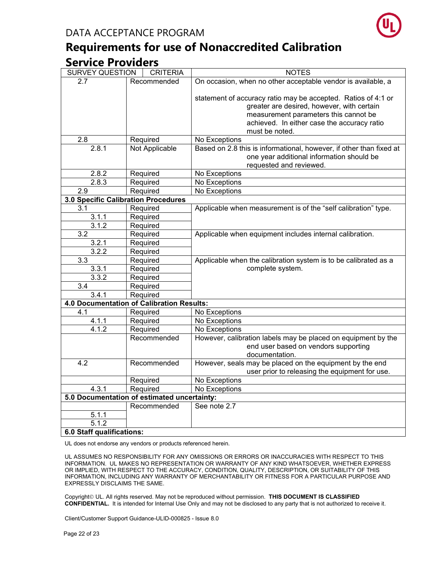

| <b>SURVEY QUESTION</b>              | <b>CRITERIA</b>                             | <b>NOTES</b>                                                        |
|-------------------------------------|---------------------------------------------|---------------------------------------------------------------------|
| 2.7                                 | Recommended                                 | On occasion, when no other acceptable vendor is available, a        |
|                                     |                                             |                                                                     |
|                                     |                                             | statement of accuracy ratio may be accepted. Ratios of 4:1 or       |
|                                     |                                             | greater are desired, however, with certain                          |
|                                     |                                             | measurement parameters this cannot be                               |
|                                     |                                             | achieved. In either case the accuracy ratio                         |
|                                     |                                             | must be noted.                                                      |
| 2.8                                 | Required                                    | No Exceptions                                                       |
| 2.8.1                               | Not Applicable                              | Based on 2.8 this is informational, however, if other than fixed at |
|                                     |                                             | one year additional information should be                           |
|                                     |                                             | requested and reviewed.                                             |
| 2.8.2                               | Required                                    | No Exceptions                                                       |
| 2.8.3                               | Required                                    | No Exceptions                                                       |
| 2.9                                 | Required                                    | No Exceptions                                                       |
| 3.0 Specific Calibration Procedures |                                             |                                                                     |
| 3.1                                 | Required                                    | Applicable when measurement is of the "self calibration" type.      |
| 3.1.1                               | Required                                    |                                                                     |
| 3.1.2                               | Required                                    |                                                                     |
| 3.2                                 | Required                                    | Applicable when equipment includes internal calibration.            |
| 3.2.1                               | Required                                    |                                                                     |
| 3.2.2                               | Required                                    |                                                                     |
| 3.3                                 | Required                                    | Applicable when the calibration system is to be calibrated as a     |
| 3.3.1                               | Required                                    | complete system.                                                    |
| 3.3.2                               | Required                                    |                                                                     |
| 3.4                                 | Required                                    |                                                                     |
| 3.4.1                               | Required                                    |                                                                     |
|                                     | 4.0 Documentation of Calibration Results:   |                                                                     |
| 4.1                                 | Required                                    | No Exceptions                                                       |
| 4.1.1                               | Required                                    | No Exceptions                                                       |
| 4.1.2                               | Required                                    | No Exceptions                                                       |
|                                     | Recommended                                 | However, calibration labels may be placed on equipment by the       |
|                                     |                                             | end user based on vendors supporting                                |
|                                     |                                             | documentation.                                                      |
| 4.2                                 | Recommended                                 | However, seals may be placed on the equipment by the end            |
|                                     |                                             | user prior to releasing the equipment for use.                      |
|                                     | Required                                    | No Exceptions                                                       |
| 4.3.1                               | Required                                    | No Exceptions                                                       |
|                                     | 5.0 Documentation of estimated uncertainty: |                                                                     |
|                                     | Recommended                                 | See note 2.7                                                        |
| 5.1.1                               |                                             |                                                                     |
| 5.1.2                               |                                             |                                                                     |
| 6.0 Staff qualifications:           |                                             |                                                                     |

UL does not endorse any vendors or products referenced herein.

UL ASSUMES NO RESPONSIBILITY FOR ANY OMISSIONS OR ERRORS OR INACCURACIES WITH RESPECT TO THIS INFORMATION. UL MAKES NO REPRESENTATION OR WARRANTY OF ANY KIND WHATSOEVER, WHETHER EXPRESS OR IMPLIED, WITH RESPECT TO THE ACCURACY, CONDITION, QUALITY, DESCRIPTION, OR SUITABILITY OF THIS INFORMATION, INCLUDING ANY WARRANTY OF MERCHANTABILITY OR FITNESS FOR A PARTICULAR PURPOSE AND EXPRESSLY DISCLAIMS THE SAME.

Copyright<sup>©</sup> UL. All rights reserved. May not be reproduced without permission. THIS DOCUMENT IS CLASSIFIED **CONFIDENTIAL.** It is intended for Internal Use Only and may not be disclosed to any party that is not authorized to receive it.